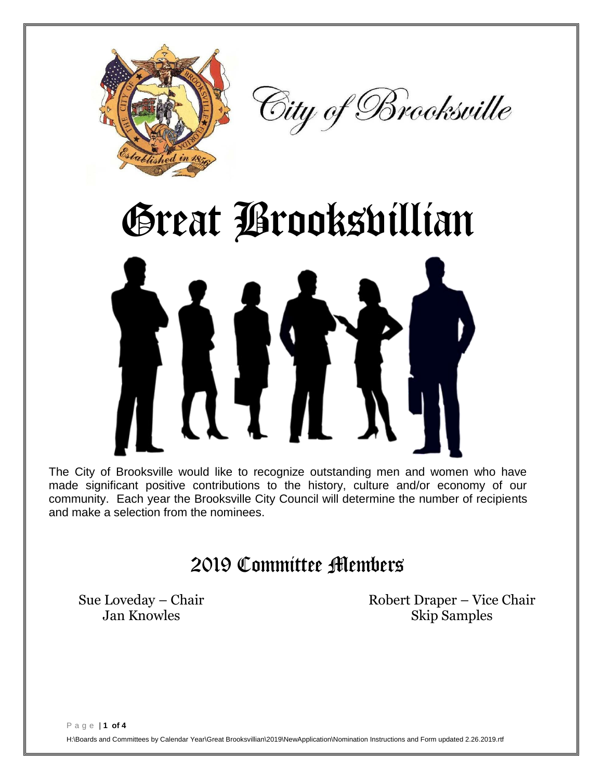



## Great Brooksvillian

The City of Brooksville would like to recognize outstanding men and women who have made significant positive contributions to the history, culture and/or economy of our community. Each year the Brooksville City Council will determine the number of recipients and make a selection from the nominees.

## 2019 Committee Members

Sue Loveday – Chair Robert Draper – Vice Chair Jan Knowles Skip Samples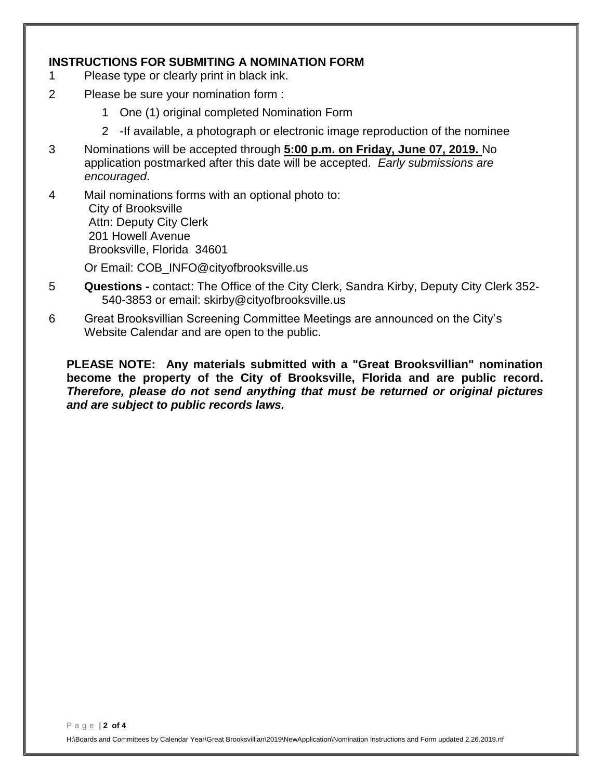## **INSTRUCTIONS FOR SUBMITING A NOMINATION FORM**

- 1 Please type or clearly print in black ink.
- 2 Please be sure your nomination form :
	- 1 One (1) original completed Nomination Form
	- 2 -If available, a photograph or electronic image reproduction of the nominee
- 3 Nominations will be accepted through **5:00 p.m. on Friday, June 07, 2019.** No application postmarked after this date will be accepted. *Early submissions are encouraged*.
- 4 Mail nominations forms with an optional photo to: City of Brooksville Attn: Deputy City Clerk 201 Howell Avenue Brooksville, Florida 34601
	- Or Email: COB\_INFO@cityofbrooksville.us
- 5 **Questions -** contact: The Office of the City Clerk, Sandra Kirby, Deputy City Clerk 352- 540-3853 or email: skirby@cityofbrooksville.us
- 6 Great Brooksvillian Screening Committee Meetings are announced on the City's Website Calendar and are open to the public.

**PLEASE NOTE: Any materials submitted with a "Great Brooksvillian" nomination become the property of the City of Brooksville, Florida and are public record.**  *Therefore, please do not send anything that must be returned or original pictures and are subject to public records laws.*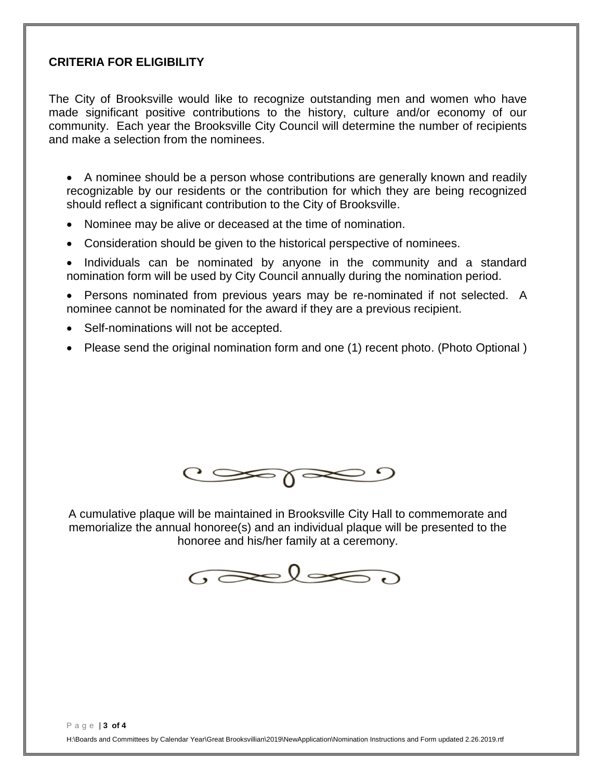## **CRITERIA FOR ELIGIBILITY**

The City of Brooksville would like to recognize outstanding men and women who have made significant positive contributions to the history, culture and/or economy of our community. Each year the Brooksville City Council will determine the number of recipients and make a selection from the nominees.

• A nominee should be a person whose contributions are generally known and readily recognizable by our residents or the contribution for which they are being recognized should reflect a significant contribution to the City of Brooksville.

- Nominee may be alive or deceased at the time of nomination.
- Consideration should be given to the historical perspective of nominees.

• Individuals can be nominated by anyone in the community and a standard nomination form will be used by City Council annually during the nomination period.

 Persons nominated from previous years may be re-nominated if not selected. A nominee cannot be nominated for the award if they are a previous recipient.

- Self-nominations will not be accepted.
- Please send the original nomination form and one (1) recent photo. (Photo Optional)



A cumulative plaque will be maintained in Brooksville City Hall to commemorate and memorialize the annual honoree(s) and an individual plaque will be presented to the honoree and his/her family at a ceremony.